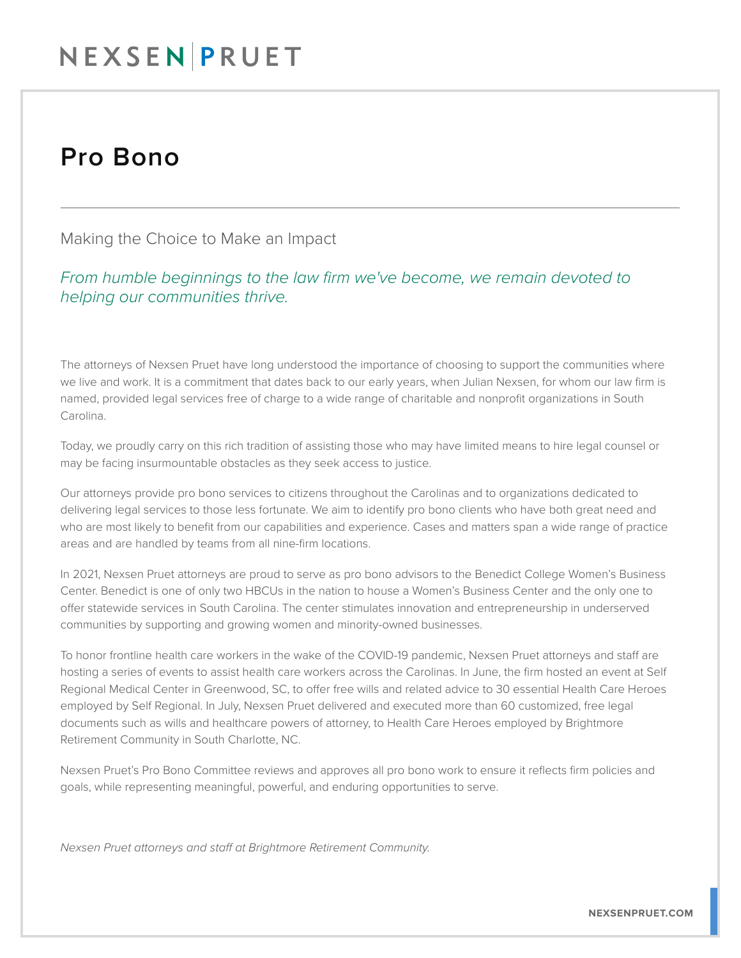## NEXSENPRUET

## Pro Bono

Making the Choice to Make an Impact

*From humble beginnings to the law firm we've become, we remain devoted to helping our communities thrive.*

The attorneys of Nexsen Pruet have long understood the importance of choosing to support the communities where we live and work. It is a commitment that dates back to our early years, when Julian Nexsen, for whom our law firm is named, provided legal services free of charge to a wide range of charitable and nonprofit organizations in South Carolina.

Today, we proudly carry on this rich tradition of assisting those who may have limited means to hire legal counsel or may be facing insurmountable obstacles as they seek access to justice.

Our attorneys provide pro bono services to citizens throughout the Carolinas and to organizations dedicated to delivering legal services to those less fortunate. We aim to identify pro bono clients who have both great need and who are most likely to benefit from our capabilities and experience. Cases and matters span a wide range of practice areas and are handled by teams from all nine-firm locations.

In 2021, Nexsen Pruet attorneys are proud to serve as pro bono advisors to the Benedict College Women's Business Center. Benedict is one of only two HBCUs in the nation to house a Women's Business Center and the only one to offer statewide services in South Carolina. The center stimulates innovation and entrepreneurship in underserved communities by supporting and growing women and minority-owned businesses.

To honor frontline health care workers in the wake of the COVID-19 pandemic, Nexsen Pruet attorneys and staff are hosting a series of events to assist health care workers across the Carolinas. In June, the firm hosted an event at Self Regional Medical Center in Greenwood, SC, to offer free wills and related advice to 30 essential Health Care Heroes employed by Self Regional. In July, Nexsen Pruet delivered and executed more than 60 customized, free legal documents such as wills and healthcare powers of attorney, to Health Care Heroes employed by Brightmore Retirement Community in South Charlotte, NC.

Nexsen Pruet's Pro Bono Committee reviews and approves all pro bono work to ensure it reflects firm policies and goals, while representing meaningful, powerful, and enduring opportunities to serve.

*Nexsen Pruet attorneys and staff at Brightmore Retirement Community.*